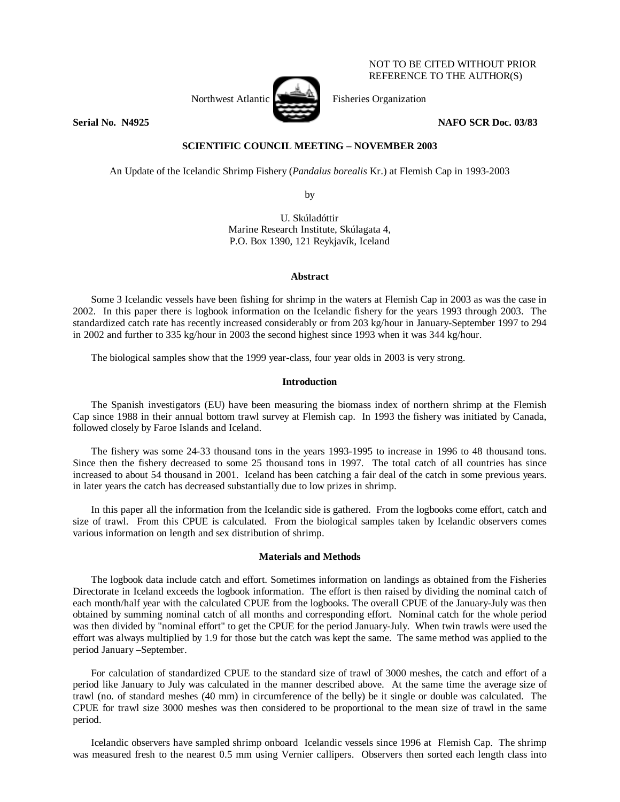

NOT TO BE CITED WITHOUT PRIOR REFERENCE TO THE AUTHOR(S)

**Serial No. N4925 NAFO SCR Doc. 03/83** 

# **SCIENTIFIC COUNCIL MEETING – NOVEMBER 2003**

An Update of the Icelandic Shrimp Fishery (*Pandalus borealis* Kr.) at Flemish Cap in 1993-2003

by

U. Skúladóttir Marine Research Institute, Skúlagata 4, P.O. Box 1390, 121 Reykjavík, Iceland

### **Abstract**

 Some 3 Icelandic vessels have been fishing for shrimp in the waters at Flemish Cap in 2003 as was the case in 2002. In this paper there is logbook information on the Icelandic fishery for the years 1993 through 2003. The standardized catch rate has recently increased considerably or from 203 kg/hour in January-September 1997 to 294 in 2002 and further to 335 kg/hour in 2003 the second highest since 1993 when it was 344 kg/hour.

The biological samples show that the 1999 year-class, four year olds in 2003 is very strong.

## **Introduction**

 The Spanish investigators (EU) have been measuring the biomass index of northern shrimp at the Flemish Cap since 1988 in their annual bottom trawl survey at Flemish cap. In 1993 the fishery was initiated by Canada, followed closely by Faroe Islands and Iceland.

The fishery was some 24-33 thousand tons in the years 1993-1995 to increase in 1996 to 48 thousand tons. Since then the fishery decreased to some 25 thousand tons in 1997. The total catch of all countries has since increased to about 54 thousand in 2001. Iceland has been catching a fair deal of the catch in some previous years. in later years the catch has decreased substantially due to low prizes in shrimp.

 In this paper all the information from the Icelandic side is gathered. From the logbooks come effort, catch and size of trawl. From this CPUE is calculated. From the biological samples taken by Icelandic observers comes various information on length and sex distribution of shrimp.

## **Materials and Methods**

 The logbook data include catch and effort. Sometimes information on landings as obtained from the Fisheries Directorate in Iceland exceeds the logbook information. The effort is then raised by dividing the nominal catch of each month/half year with the calculated CPUE from the logbooks. The overall CPUE of the January-July was then obtained by summing nominal catch of all months and corresponding effort. Nominal catch for the whole period was then divided by "nominal effort" to get the CPUE for the period January-July. When twin trawls were used the effort was always multiplied by 1.9 for those but the catch was kept the same. The same method was applied to the period January –September.

For calculation of standardized CPUE to the standard size of trawl of 3000 meshes, the catch and effort of a period like January to July was calculated in the manner described above. At the same time the average size of trawl (no. of standard meshes (40 mm) in circumference of the belly) be it single or double was calculated. The CPUE for trawl size 3000 meshes was then considered to be proportional to the mean size of trawl in the same period.

 Icelandic observers have sampled shrimp onboard Icelandic vessels since 1996 at Flemish Cap. The shrimp was measured fresh to the nearest 0.5 mm using Vernier callipers. Observers then sorted each length class into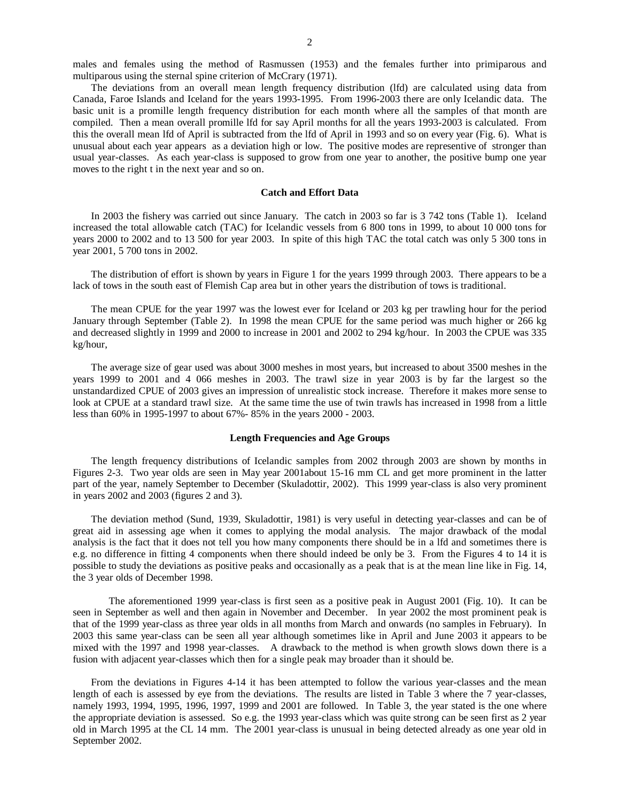males and females using the method of Rasmussen (1953) and the females further into primiparous and multiparous using the sternal spine criterion of McCrary (1971).

 The deviations from an overall mean length frequency distribution (lfd) are calculated using data from Canada, Faroe Islands and Iceland for the years 1993-1995. From 1996-2003 there are only Icelandic data. The basic unit is a promille length frequency distribution for each month where all the samples of that month are compiled. Then a mean overall promille lfd for say April months for all the years 1993-2003 is calculated. From this the overall mean lfd of April is subtracted from the lfd of April in 1993 and so on every year (Fig. 6). What is unusual about each year appears as a deviation high or low. The positive modes are representive of stronger than usual year-classes. As each year-class is supposed to grow from one year to another, the positive bump one year moves to the right t in the next year and so on.

#### **Catch and Effort Data**

 In 2003 the fishery was carried out since January. The catch in 2003 so far is 3 742 tons (Table 1). Iceland increased the total allowable catch (TAC) for Icelandic vessels from 6 800 tons in 1999, to about 10 000 tons for years 2000 to 2002 and to 13 500 for year 2003. In spite of this high TAC the total catch was only 5 300 tons in year 2001, 5 700 tons in 2002.

 The distribution of effort is shown by years in Figure 1 for the years 1999 through 2003. There appears to be a lack of tows in the south east of Flemish Cap area but in other years the distribution of tows is traditional.

The mean CPUE for the year 1997 was the lowest ever for Iceland or 203 kg per trawling hour for the period January through September (Table 2). In 1998 the mean CPUE for the same period was much higher or 266 kg and decreased slightly in 1999 and 2000 to increase in 2001 and 2002 to 294 kg/hour. In 2003 the CPUE was 335 kg/hour,

The average size of gear used was about 3000 meshes in most years, but increased to about 3500 meshes in the years 1999 to 2001 and 4 066 meshes in 2003. The trawl size in year 2003 is by far the largest so the unstandardized CPUE of 2003 gives an impression of unrealistic stock increase. Therefore it makes more sense to look at CPUE at a standard trawl size. At the same time the use of twin trawls has increased in 1998 from a little less than 60% in 1995-1997 to about 67%- 85% in the years 2000 - 2003.

### **Length Frequencies and Age Groups**

 The length frequency distributions of Icelandic samples from 2002 through 2003 are shown by months in Figures 2-3. Two year olds are seen in May year 2001about 15-16 mm CL and get more prominent in the latter part of the year, namely September to December (Skuladottir, 2002). This 1999 year-class is also very prominent in years 2002 and 2003 (figures 2 and 3).

The deviation method (Sund, 1939, Skuladottir, 1981) is very useful in detecting year-classes and can be of great aid in assessing age when it comes to applying the modal analysis. The major drawback of the modal analysis is the fact that it does not tell you how many components there should be in a lfd and sometimes there is e.g. no difference in fitting 4 components when there should indeed be only be 3. From the Figures 4 to 14 it is possible to study the deviations as positive peaks and occasionally as a peak that is at the mean line like in Fig. 14, the 3 year olds of December 1998.

The aforementioned 1999 year-class is first seen as a positive peak in August 2001 (Fig. 10). It can be seen in September as well and then again in November and December. In year 2002 the most prominent peak is that of the 1999 year-class as three year olds in all months from March and onwards (no samples in February). In 2003 this same year-class can be seen all year although sometimes like in April and June 2003 it appears to be mixed with the 1997 and 1998 year-classes. A drawback to the method is when growth slows down there is a fusion with adjacent year-classes which then for a single peak may broader than it should be.

From the deviations in Figures 4-14 it has been attempted to follow the various year-classes and the mean length of each is assessed by eye from the deviations. The results are listed in Table 3 where the 7 year-classes, namely 1993, 1994, 1995, 1996, 1997, 1999 and 2001 are followed. In Table 3, the year stated is the one where the appropriate deviation is assessed. So e.g. the 1993 year-class which was quite strong can be seen first as 2 year old in March 1995 at the CL 14 mm. The 2001 year-class is unusual in being detected already as one year old in September 2002.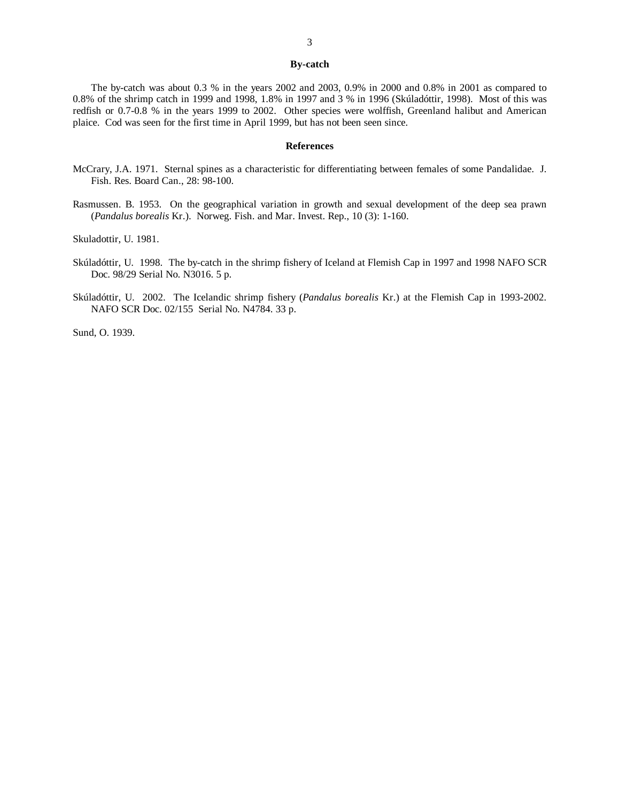#### **By-catch**

The by-catch was about 0.3 % in the years 2002 and 2003, 0.9% in 2000 and 0.8% in 2001 as compared to 0.8% of the shrimp catch in 1999 and 1998, 1.8% in 1997 and 3 % in 1996 (Skúladóttir, 1998). Most of this was redfish or 0.7-0.8 % in the years 1999 to 2002. Other species were wolffish, Greenland halibut and American plaice. Cod was seen for the first time in April 1999, but has not been seen since.

#### **References**

- McCrary, J.A. 1971. Sternal spines as a characteristic for differentiating between females of some Pandalidae. J. Fish. Res. Board Can., 28: 98-100.
- Rasmussen. B. 1953. On the geographical variation in growth and sexual development of the deep sea prawn (*Pandalus borealis* Kr.). Norweg. Fish. and Mar. Invest. Rep., 10 (3): 1-160.

Skuladottir, U. 1981.

- Skúladóttir, U. 1998. The by-catch in the shrimp fishery of Iceland at Flemish Cap in 1997 and 1998 NAFO SCR Doc. 98/29 Serial No. N3016. 5 p.
- Skúladóttir, U. 2002. The Icelandic shrimp fishery (*Pandalus borealis* Kr.) at the Flemish Cap in 1993-2002. NAFO SCR Doc. 02/155 Serial No. N4784. 33 p.

Sund, O. 1939.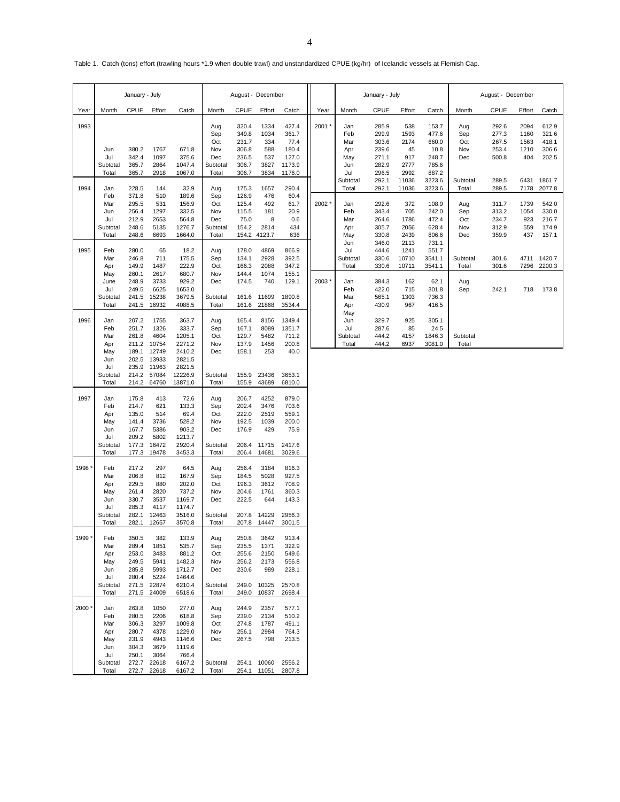Table 1. Catch (tons) effort (trawling hours \*1.9 when double trawl) and unstandardized CPUE (kg/hr) of Icelandic vessels at Flemish Cap.

|       | January - July                                                     |                                                                               |                                                                        | August - December                                                                   |                                                      |                                                             |                                                       | January - July                                                |       |                                               | August - December                                           |                                                  |                                                               |                                                      |                                                    |                                                   |                                                      |
|-------|--------------------------------------------------------------------|-------------------------------------------------------------------------------|------------------------------------------------------------------------|-------------------------------------------------------------------------------------|------------------------------------------------------|-------------------------------------------------------------|-------------------------------------------------------|---------------------------------------------------------------|-------|-----------------------------------------------|-------------------------------------------------------------|--------------------------------------------------|---------------------------------------------------------------|------------------------------------------------------|----------------------------------------------------|---------------------------------------------------|------------------------------------------------------|
| Year  | Month                                                              | <b>CPUE</b>                                                                   | Effort                                                                 | Catch                                                                               | Month                                                | <b>CPUE</b>                                                 | Effort                                                | Catch                                                         | Year  | Month                                         | <b>CPUE</b>                                                 | Effort                                           | Catch                                                         | Month                                                | CPUE                                               | Effort                                            | Catch                                                |
| 1993  | Jun<br>Jul<br>Subtotal<br>Total                                    | 380.2<br>342.4<br>365.7<br>365.7                                              | 1767<br>1097<br>2864<br>2918                                           | 671.8<br>375.6<br>1047.4<br>1067.0                                                  | Aug<br>Sep<br>Oct<br>Nov<br>Dec<br>Subtotal<br>Total | 320.4<br>349.8<br>231.7<br>306.8<br>236.5<br>306.7<br>306.7 | 1334<br>1034<br>334<br>588<br>537<br>3827<br>3834     | 427.4<br>361.7<br>77.4<br>180.4<br>127.0<br>1173.9<br>1176.0  | 2001  | Jan<br>Feb<br>Mar<br>Apr<br>May<br>Jun<br>Jul | 285.9<br>299.9<br>303.6<br>239.6<br>271.1<br>282.9<br>296.5 | 538<br>1593<br>2174<br>45<br>917<br>2777<br>2992 | 153.7<br>477.6<br>660.0<br>10.8<br>248.7<br>785.6<br>887.2    | Aug<br>Sep<br>Oct<br>Nov<br>Dec                      | 292.6<br>277.3<br>267.5<br>253.4<br>500.8          | 2094<br>1160<br>1563<br>1210<br>404               | 612.9<br>321.6<br>418.1<br>306.6<br>202.5            |
| 1994  | Jan<br>Feb<br>Mar<br>Jun<br>Jul<br>Subtotal                        | 228.5<br>371.8<br>295.5<br>256.4<br>212.9<br>248.6                            | 144<br>510<br>531<br>1297<br>2653<br>5135                              | 32.9<br>189.6<br>156.9<br>332.5<br>564.8<br>1276.7                                  | Aug<br>Sep<br>Oct<br>Nov<br>Dec<br>Subtotal          | 175.3<br>126.9<br>125.4<br>115.5<br>75.0<br>154.2           | 1657<br>476<br>492<br>181<br>8<br>2814                | 290.4<br>60.4<br>61.7<br>20.9<br>0.6<br>434<br>636            | 2002  | Subtotal<br>Total<br>Jan<br>Feb<br>Mar<br>Apr | 292.1<br>292.1<br>292.6<br>343.4<br>264.6<br>305.7<br>330.8 | 11036<br>11036<br>372<br>705<br>1786<br>2056     | 3223.6<br>3223.6<br>108.9<br>242.0<br>472.4<br>628.4<br>806.6 | Subtotal<br>Total<br>Aug<br>Sep<br>Oct<br>Nov<br>Dec | 289.5<br>289.5<br>311.7<br>313.2<br>234.7<br>312.9 | 6431<br>7178<br>1739<br>1054<br>923<br>559<br>437 | 1861.7<br>2077.8<br>542.0<br>330.0<br>216.7<br>174.9 |
| 1995  | Total<br>Feb<br>Mar<br>Apr<br>May                                  | 248.6<br>280.0<br>246.8<br>149.9<br>260.1                                     | 6693<br>65<br>711<br>1487<br>2617                                      | 1664.0<br>18.2<br>175.5<br>222.9<br>680.7                                           | Total<br>Aug<br>Sep<br>Oct<br>Nov                    | 178.0<br>134.1<br>166.3<br>144.4                            | 154.2 4123.7<br>4869<br>2928<br>2088<br>1074          | 866.9<br>392.5<br>347.2<br>155.1                              |       | May<br>Jun<br>Jul<br>Subtotal<br>Total        | 346.0<br>444.6<br>330.6<br>330.6                            | 2439<br>2113<br>1241<br>10710<br>10711           | 731.1<br>551.7<br>3541.1<br>3541.1                            | Subtotal<br>Total                                    | 359.9<br>301.6<br>301.6                            | 7296                                              | 157.1<br>4711 1420.7<br>2200.3                       |
|       | June<br>Jul<br>Subtotal<br>Total                                   | 248.9<br>249.5<br>241.5<br>241.5                                              | 3733<br>6625<br>15238<br>16932                                         | 929.2<br>1653.0<br>3679.5<br>4088.5                                                 | Dec<br>Subtotal<br>Total                             | 174.5<br>161.6<br>161.6                                     | 740<br>11699<br>21868                                 | 129.1<br>1890.8<br>3534.4                                     | 2003* | Jan<br>Feb<br>Mar<br>Apr<br>May               | 384.3<br>422.0<br>565.1<br>430.9                            | 162<br>715<br>1303<br>967                        | 62.1<br>301.8<br>736.3<br>416.5                               | Aug<br>Sep                                           | 242.1                                              | 718                                               | 173.8                                                |
| 1996  | Jan<br>Feb<br>Mar<br>Apr<br>May                                    | 207.2<br>251.7<br>261.8<br>211.2<br>189.1                                     | 1755<br>1326<br>4604<br>10754<br>12749                                 | 363.7<br>333.7<br>1205.1<br>2271.2<br>2410.2                                        | Aug<br>Sep<br>Oct<br>Nov<br>Dec                      | 165.4<br>167.1<br>129.7<br>137.9<br>158.1                   | 8156<br>8089<br>5482<br>1456<br>253                   | 1349.4<br>1351.7<br>711.2<br>200.8<br>40.0                    |       | Jun<br>Jul<br>Subtotal<br>Total               | 329.7<br>287.6<br>444.2<br>444.2                            | 925<br>85<br>4157<br>6937                        | 305.1<br>24.5<br>1846.3<br>3081.0                             | Subtotal<br>Total                                    |                                                    |                                                   |                                                      |
|       | Jun<br>Jul<br>Subtotal<br>Total                                    | 202.5<br>235.9<br>214.2<br>214.2                                              | 13933<br>11963<br>57084<br>64760                                       | 2821.5<br>2821.5<br>12226.9<br>13871.0                                              | Subtotal<br>Total                                    | 155.9<br>155.9                                              | 23436<br>43689                                        | 3653.1<br>6810.0                                              |       |                                               |                                                             |                                                  |                                                               |                                                      |                                                    |                                                   |                                                      |
| 1997  | Jan<br>Feb<br>Apr<br>May<br>Jun<br>Jul<br>Subtotal<br>Total        | 175.8<br>214.7<br>135.0<br>141.4<br>167.7<br>209.2<br>177.3<br>177.3          | 413<br>621<br>514<br>3736<br>5386<br>5802<br>16472<br>19478            | 72.6<br>133.3<br>69.4<br>528.2<br>903.2<br>1213.7<br>2920.4<br>3453.3               | Aug<br>Sep<br>Oct<br>Nov<br>Dec<br>Subtotal<br>Total | 206.7<br>202.4<br>222.0<br>192.5<br>176.9<br>206.4<br>206.4 | 4252<br>3476<br>2519<br>1039<br>429<br>11715<br>14681 | 879.0<br>703.6<br>559.1<br>200.0<br>75.9<br>2417.6<br>3029.6  |       |                                               |                                                             |                                                  |                                                               |                                                      |                                                    |                                                   |                                                      |
| 1998  | Feb<br>Mar<br>Apr<br>May<br>Jun<br>Jul<br>Subtotal<br>Total        | 217.2<br>206.8<br>229.5<br>261.4<br>330.7<br>285.3<br>282.1<br>282.1          | 297<br>812<br>880<br>2820<br>3537<br>4117<br>12463<br>12657            | 64.5<br>167.9<br>202.0<br>737.2<br>1169.7<br>1174.7<br>3516.0<br>3570.8             | Aug<br>Sep<br>Oct<br>Nov<br>Dec<br>Subtotal<br>Total | 256.4<br>184.5<br>196.3<br>204.6<br>222.5<br>207.8<br>207.8 | 3184<br>5028<br>3612<br>1761<br>644<br>14229<br>14447 | 816.3<br>927.5<br>708.9<br>360.3<br>143.3<br>2956.3<br>3001.5 |       |                                               |                                                             |                                                  |                                                               |                                                      |                                                    |                                                   |                                                      |
| 1999' | Feb<br>Mar<br>Apr<br>May<br>Jun<br>Jul<br>Subtotal<br>Total        | 350.5<br>289.4<br>253.0<br>249.5<br>285.8<br>280.4<br>271.5<br>271.5          | 382<br>1851<br>3483<br>5941<br>5993<br>5224<br>22874<br>24009          | 133.9<br>535.7<br>881.2<br>1482.3<br>1712.7<br>1464.6<br>6210.4<br>6518.6           | Aug<br>Sep<br>Oct<br>Nov<br>Dec<br>Subtotal<br>Total | 250.8<br>235.5<br>255.6<br>256.2<br>230.6<br>249.0<br>249.0 | 3642<br>1371<br>2150<br>2173<br>989<br>10325<br>10837 | 913.4<br>322.9<br>549.6<br>556.8<br>228.1<br>2570.8<br>2698.4 |       |                                               |                                                             |                                                  |                                                               |                                                      |                                                    |                                                   |                                                      |
| 2000  | Jan<br>Feb<br>Mar<br>Apr<br>May<br>Jun<br>Jul<br>Subtotal<br>Total | 263.8<br>280.5<br>306.3<br>280.7<br>231.9<br>304.3<br>250.1<br>272.7<br>272.7 | 1050<br>2206<br>3297<br>4378<br>4943<br>3679<br>3064<br>22618<br>22618 | 277.0<br>618.8<br>1009.8<br>1229.0<br>1146.6<br>1119.6<br>766.4<br>6167.2<br>6167.2 | Aug<br>Sep<br>Oct<br>Nov<br>Dec<br>Subtotal<br>Total | 244.9<br>239.0<br>274.8<br>256.1<br>267.5<br>254.1<br>254.1 | 2357<br>2134<br>1787<br>2984<br>798<br>10060<br>11051 | 577.1<br>510.2<br>491.1<br>764.3<br>213.5<br>2556.2<br>2807.8 |       |                                               |                                                             |                                                  |                                                               |                                                      |                                                    |                                                   |                                                      |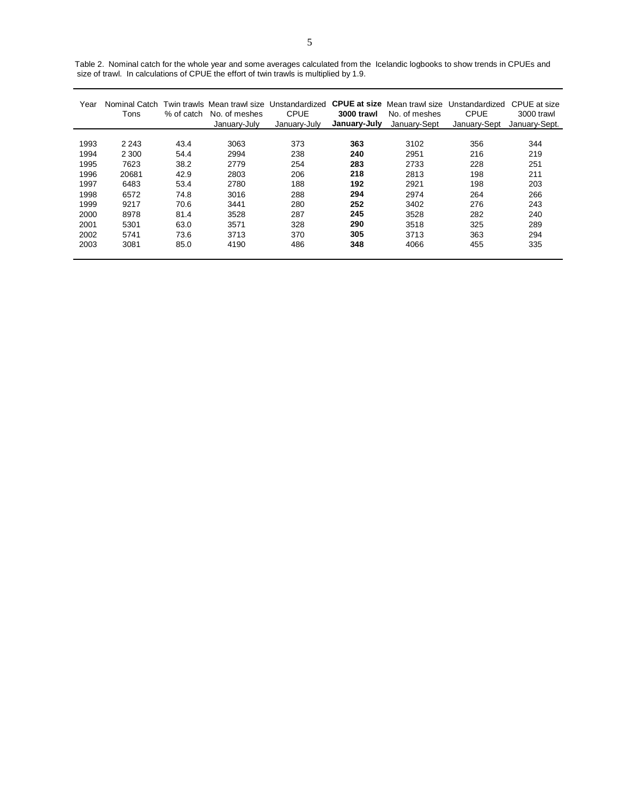| size of trawl. In calculations of CPUE the effort of twin trawls is multiplied by 1.9. |         |      |                          |                                                                                                                                  |            |                           |              |               |  |  |  |  |
|----------------------------------------------------------------------------------------|---------|------|--------------------------|----------------------------------------------------------------------------------------------------------------------------------|------------|---------------------------|--------------|---------------|--|--|--|--|
| Year                                                                                   | Tons    |      | % of catch No. of meshes | Nominal Catch Twin trawls Mean trawl size Unstandardized CPUE at size Mean trawl size Unstandardized CPUE at size<br><b>CPUF</b> | 3000 trawl | No. of meshes             | CPUF.        | 3000 trawl    |  |  |  |  |
|                                                                                        |         |      | January-July             | Januarv-July                                                                                                                     |            | January-July January-Sept | Januarv-Sept | January-Sept. |  |  |  |  |
| 1993                                                                                   | 2 2 4 3 | 43.4 | 3063                     | 373                                                                                                                              | 363        | 3102                      | 356          | 344           |  |  |  |  |

1994 2 300 54.4 2994 238 **240** 2951 216 219 1995 7623 38.2 2779 254 **283** 2733 228 251 1996 20681 42.9 2803 206 **218** 2813 198 211 1997 6483 53.4 2780 188 **192** 2921 198 203 1998 6572 74.8 3016 288 **294** 2974 264 266 1999 9217 70.6 3441 280 **252** 3402 276 243 2000 8978 81.4 3528 287 **245** 3528 282 240 2001 5301 63.0 3571 328 **290** 3518 325 289 2002 5741 73.6 3713 370 **305** 3713 363 294 2003 3081 85.0 4190 486 **348** 4066 455 335

Table 2. Nominal catch for the whole year and some averages calculated from the Icelandic logbooks to show trends in CPUEs and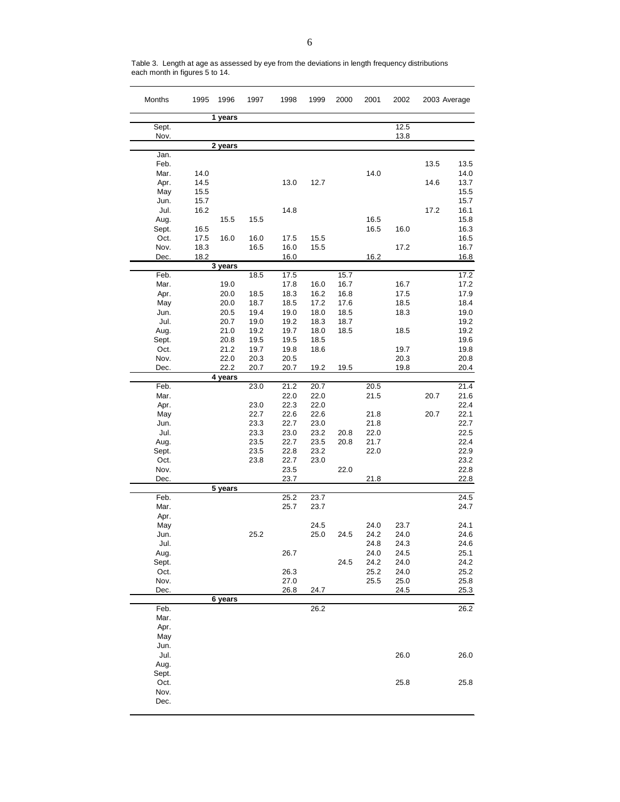| Months       | 1995 | 1996         | 1997         | 1998         | 1999         | 2000         | 2001 | 2002 |      | 2003 Average |
|--------------|------|--------------|--------------|--------------|--------------|--------------|------|------|------|--------------|
|              |      | 1 years      |              |              |              |              |      |      |      |              |
| Sept.        |      |              |              |              |              |              |      | 12.5 |      |              |
| Nov.         |      |              |              |              |              |              |      | 13.8 |      |              |
|              |      | 2 years      |              |              |              |              |      |      |      |              |
| Jan.<br>Feb. |      |              |              |              |              |              |      |      | 13.5 | 13.5         |
| Mar.         | 14.0 |              |              |              |              |              | 14.0 |      |      | 14.0         |
| Apr.         | 14.5 |              |              | 13.0         | 12.7         |              |      |      | 14.6 | 13.7         |
| May          | 15.5 |              |              |              |              |              |      |      |      | 15.5         |
| Jun.         | 15.7 |              |              |              |              |              |      |      |      | 15.7         |
| Jul.         | 16.2 |              |              | 14.8         |              |              |      |      | 17.2 | 16.1         |
| Aug.         |      | 15.5         | 15.5         |              |              |              | 16.5 |      |      | 15.8         |
| Sept.        | 16.5 |              |              |              |              |              | 16.5 | 16.0 |      | 16.3         |
| Oct.         | 17.5 | 16.0         | 16.0         | 17.5         | 15.5         |              |      |      |      | 16.5         |
| Nov.         | 18.3 |              | 16.5         | 16.0         | 15.5         |              |      | 17.2 |      | 16.7         |
| Dec.         | 18.2 |              |              | 16.0         |              |              | 16.2 |      |      | 16.8         |
|              |      | 3 years      |              |              |              |              |      |      |      |              |
| Feb.         |      |              | 18.5         | 17.5         |              | 15.7         |      |      |      | 17.2         |
| Mar.         |      | 19.0         |              | 17.8         | 16.0         | 16.7         |      | 16.7 |      | 17.2         |
| Apr.         |      | 20.0         | 18.5         | 18.3         | 16.2         | 16.8         |      | 17.5 |      | 17.9         |
| May          |      | 20.0         | 18.7         | 18.5         | 17.2         | 17.6         |      | 18.5 |      | 18.4<br>19.0 |
| Jun.<br>Jul. |      | 20.5         | 19.4         | 19.0<br>19.2 | 18.0         | 18.5         |      | 18.3 |      | 19.2         |
| Aug.         |      | 20.7<br>21.0 | 19.0<br>19.2 | 19.7         | 18.3<br>18.0 | 18.7<br>18.5 |      | 18.5 |      | 19.2         |
| Sept.        |      | 20.8         | 19.5         | 19.5         | 18.5         |              |      |      |      | 19.6         |
| Oct.         |      | 21.2         | 19.7         | 19.8         | 18.6         |              |      | 19.7 |      | 19.8         |
| Nov.         |      | 22.0         | 20.3         | 20.5         |              |              |      | 20.3 |      | 20.8         |
| Dec.         |      | 22.2         | 20.7         | 20.7         | 19.2         | 19.5         |      | 19.8 |      | 20.4         |
|              |      | 4 years      |              |              |              |              |      |      |      |              |
| Feb.         |      |              | 23.0         | 21.2         | 20.7         |              | 20.5 |      |      | 21.4         |
| Mar.         |      |              |              | 22.0         | 22.0         |              | 21.5 |      | 20.7 | 21.6         |
| Apr.         |      |              | 23.0         | 22.3         | 22.0         |              |      |      |      | 22.4         |
| May          |      |              | 22.7         | 22.6         | 22.6         |              | 21.8 |      | 20.7 | 22.1         |
| Jun.         |      |              | 23.3         | 22.7         | 23.0         |              | 21.8 |      |      | 22.7         |
| Jul.         |      |              | 23.3         | 23.0         | 23.2         | 20.8         | 22.0 |      |      | 22.5         |
| Aug.         |      |              | 23.5         | 22.7         | 23.5         | 20.8         | 21.7 |      |      | 22.4         |
| Sept.        |      |              | 23.5         | 22.8         | 23.2         |              | 22.0 |      |      | 22.9         |
| Oct.         |      |              | 23.8         | 22.7         | 23.0         |              |      |      |      | 23.2         |
| Nov.<br>Dec. |      |              |              | 23.5<br>23.7 |              | 22.0         | 21.8 |      |      | 22.8<br>22.8 |
|              |      | 5 years      |              |              |              |              |      |      |      |              |
| Feb.         |      |              |              | 25.2         | 23.7         |              |      |      |      | 24.5         |
| Mar.         |      |              |              | 25.7         | 23.7         |              |      |      |      | 24.7         |
| Apr.         |      |              |              |              |              |              |      |      |      |              |
| May          |      |              |              |              | 24.5         |              | 24.0 | 23.7 |      | 24.1         |
| Jun.         |      |              | 25.2         |              | 25.0         | 24.5         | 24.2 | 24.0 |      | 24.6         |
| Jul.         |      |              |              |              |              |              | 24.8 | 24.3 |      | 24.6         |
| Aug.         |      |              |              | 26.7         |              |              | 24.0 | 24.5 |      | 25.1         |
| Sept.        |      |              |              |              |              | 24.5         | 24.2 | 24.0 |      | 24.2         |
| Oct.         |      |              |              | 26.3         |              |              | 25.2 | 24.0 |      | 25.2         |
| Nov.         |      |              |              | 27.0         |              |              | 25.5 | 25.0 |      | 25.8         |
| Dec.         |      |              |              | 26.8         | 24.7         |              |      | 24.5 |      | 25.3         |
|              |      | 6 years      |              |              |              |              |      |      |      | 26.2         |
| Feb.<br>Mar. |      |              |              |              | 26.2         |              |      |      |      |              |
| Apr.         |      |              |              |              |              |              |      |      |      |              |
| May          |      |              |              |              |              |              |      |      |      |              |
| Jun.         |      |              |              |              |              |              |      |      |      |              |
| Jul.         |      |              |              |              |              |              |      | 26.0 |      | 26.0         |
| Aug.         |      |              |              |              |              |              |      |      |      |              |
| Sept.        |      |              |              |              |              |              |      |      |      |              |
| Oct.         |      |              |              |              |              |              |      | 25.8 |      | 25.8         |
| Nov.         |      |              |              |              |              |              |      |      |      |              |
| Dec.         |      |              |              |              |              |              |      |      |      |              |
|              |      |              |              |              |              |              |      |      |      |              |

Table 3. Length at age as assessed by eye from the deviations in length frequency distributions each month in figures 5 to 14.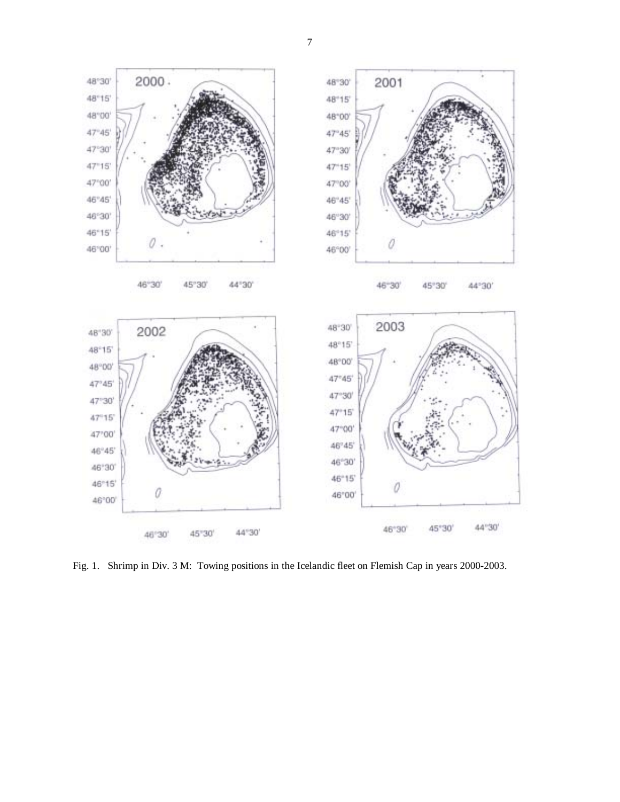

Fig. 1. Shrimp in Div. 3 M: Towing positions in the Icelandic fleet on Flemish Cap in years 2000-2003.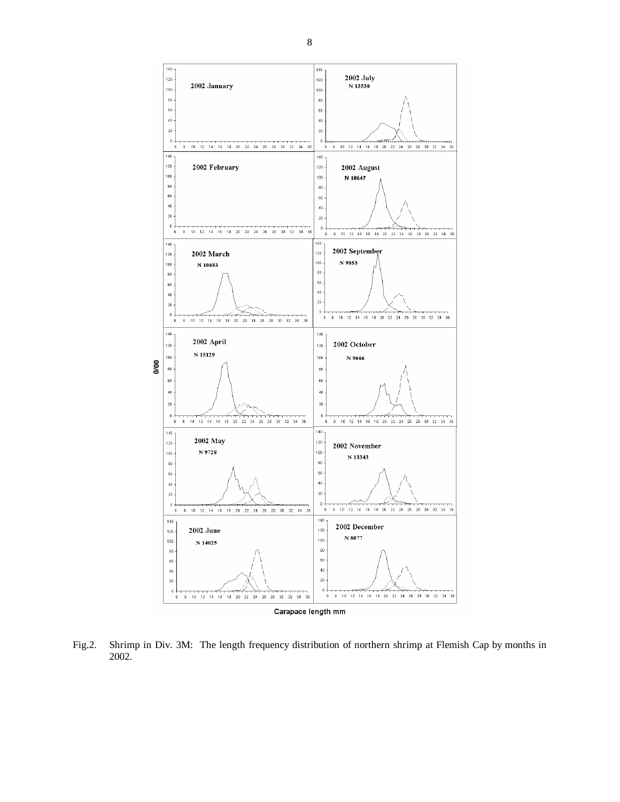

Fig.2. Shrimp in Div. 3M: The length frequency distribution of northern shrimp at Flemish Cap by months in 2002.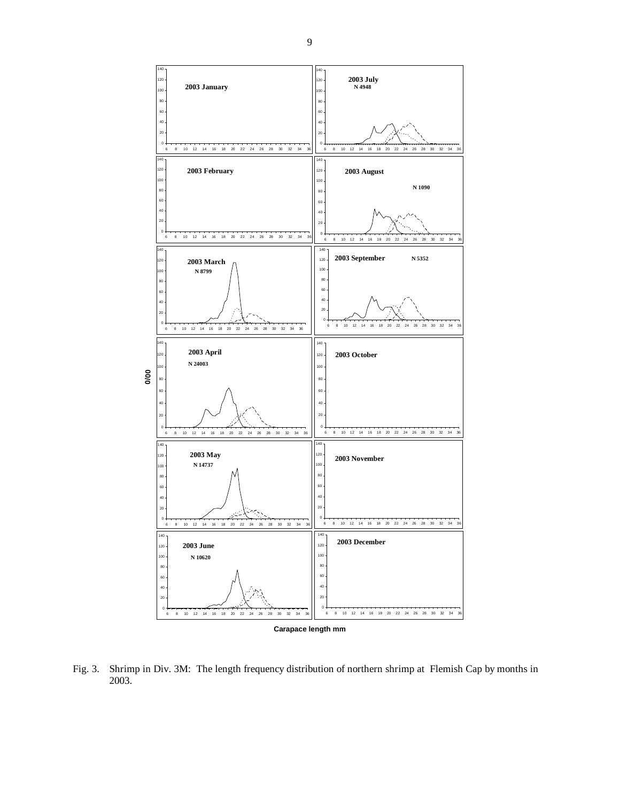

**Carapace length mm**

Fig. 3. Shrimp in Div. 3M: The length frequency distribution of northern shrimp at Flemish Cap by months in 2003.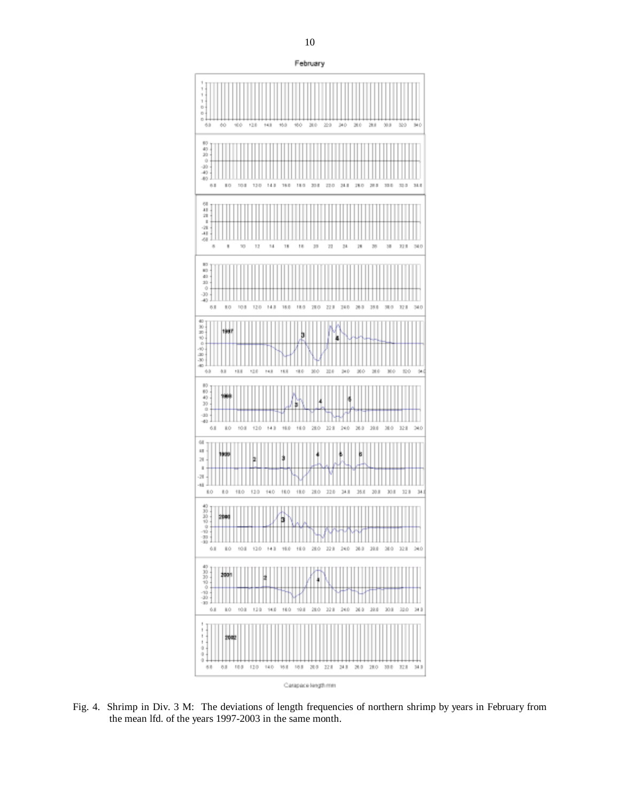

Fig. 4. Shrimp in Div. 3 M: The deviations of length frequencies of northern shrimp by years in February from the mean lfd. of the years 1997-2003 in the same month.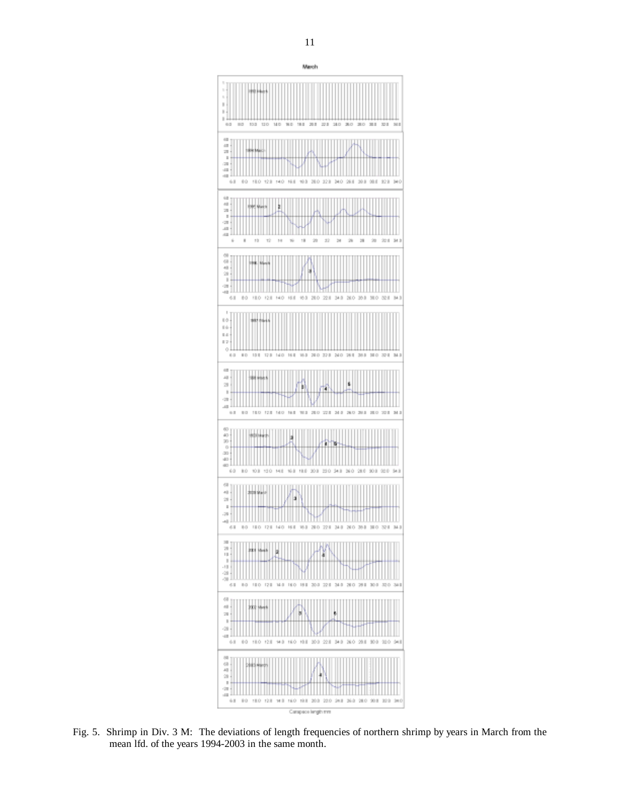

Fig. 5. Shrimp in Div. 3 M: The deviations of length frequencies of northern shrimp by years in March from the mean lfd. of the years 1994-2003 in the same month.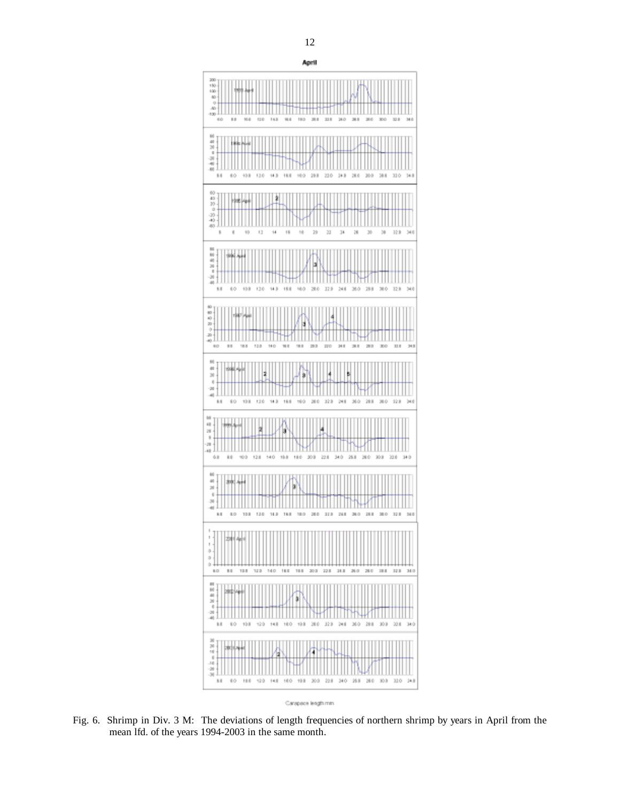

Carapace length mm

Fig. 6. Shrimp in Div. 3 M: The deviations of length frequencies of northern shrimp by years in April from the mean lfd. of the years 1994-2003 in the same month.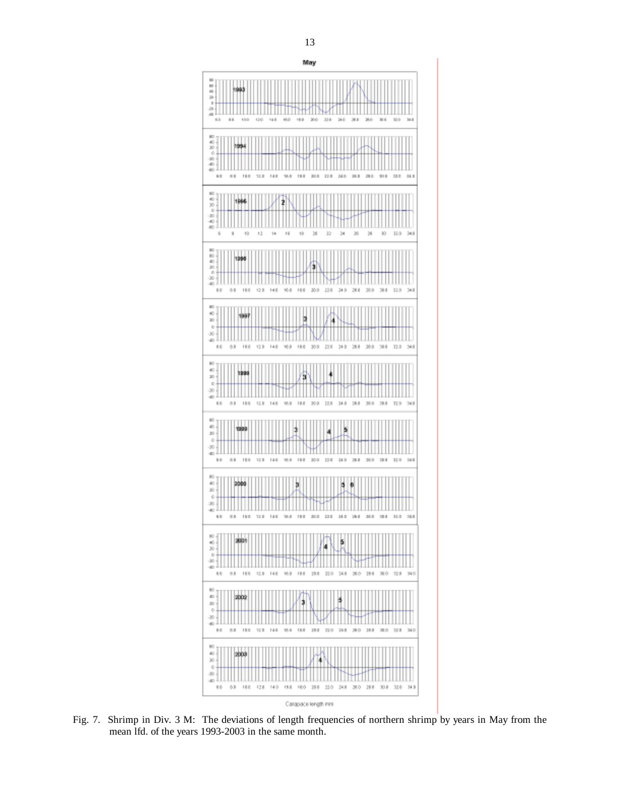

Fig. 7. Shrimp in Div. 3 M: The deviations of length frequencies of northern shrimp by years in May from the mean lfd. of the years 1993-2003 in the same month.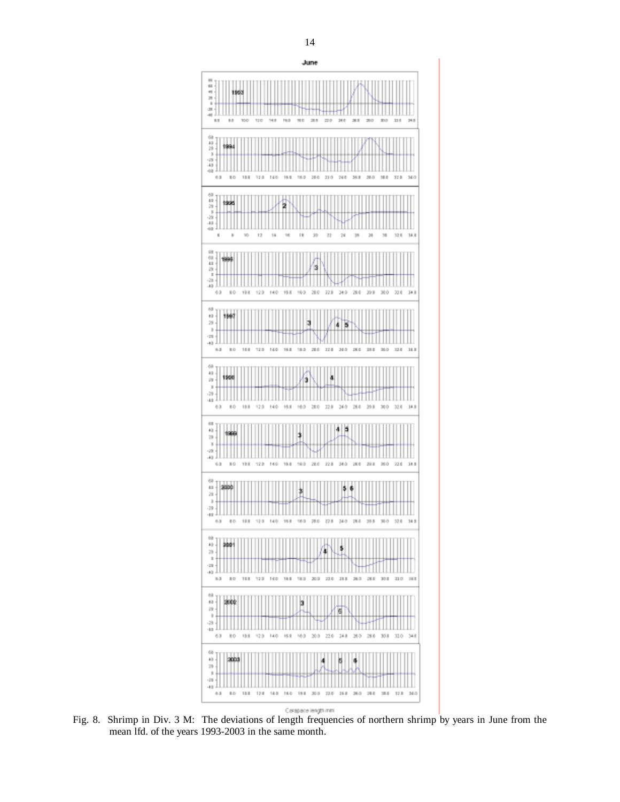

Fig. 8. Shrimp in Div. 3 M: The deviations of length frequencies of northern shrimp by years in June from the mean lfd. of the years 1993-2003 in the same month.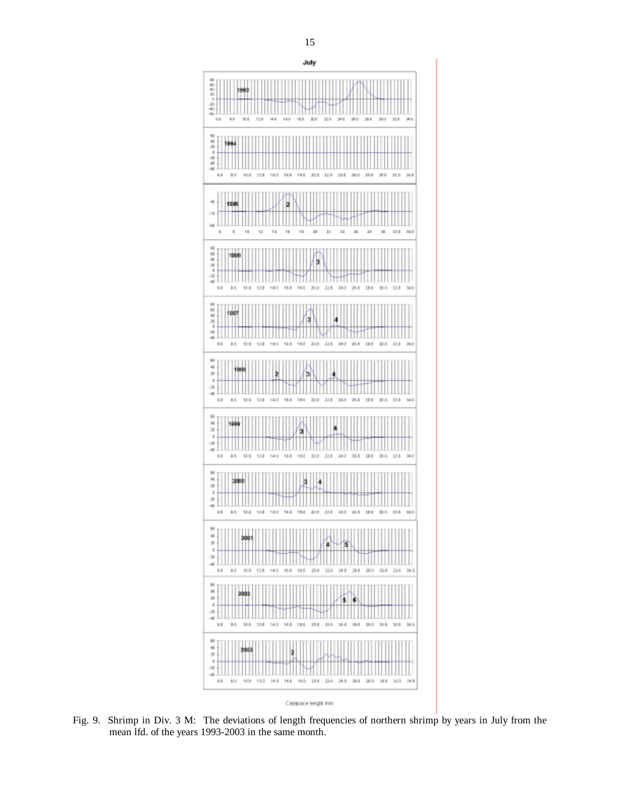

Fig. 9. Shrimp in Div. 3 M: The deviations of length frequencies of northern shrimp by years in July from the mean lfd. of the years 1993-2003 in the same month.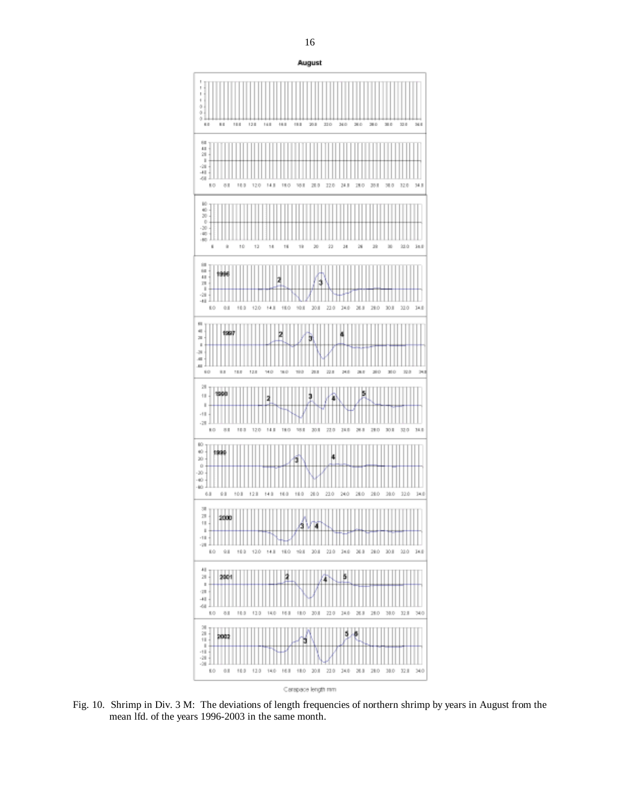

Fig. 10. Shrimp in Div. 3 M: The deviations of length frequencies of northern shrimp by years in August from the mean lfd. of the years 1996-2003 in the same month.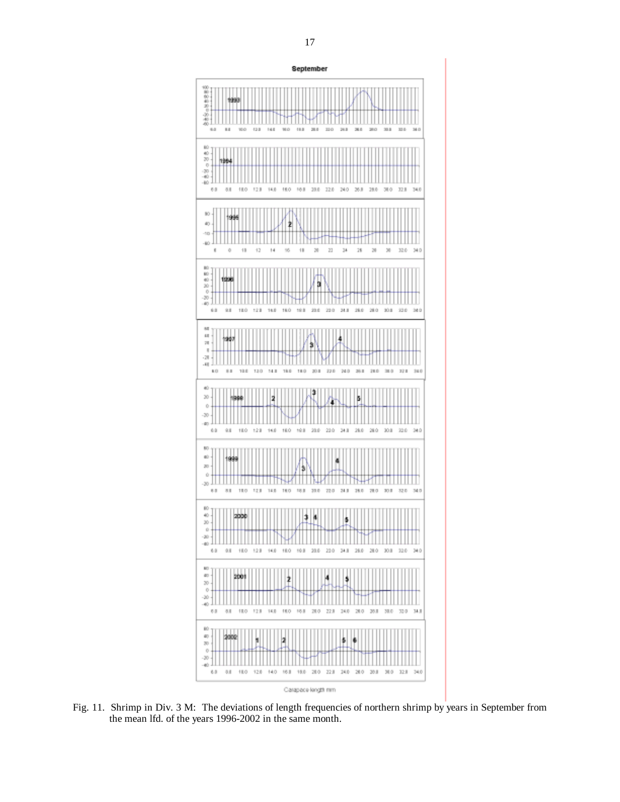

Fig. 11. Shrimp in Div. 3 M: The deviations of length frequencies of northern shrimp by years in September from the mean lfd. of the years 1996-2002 in the same month.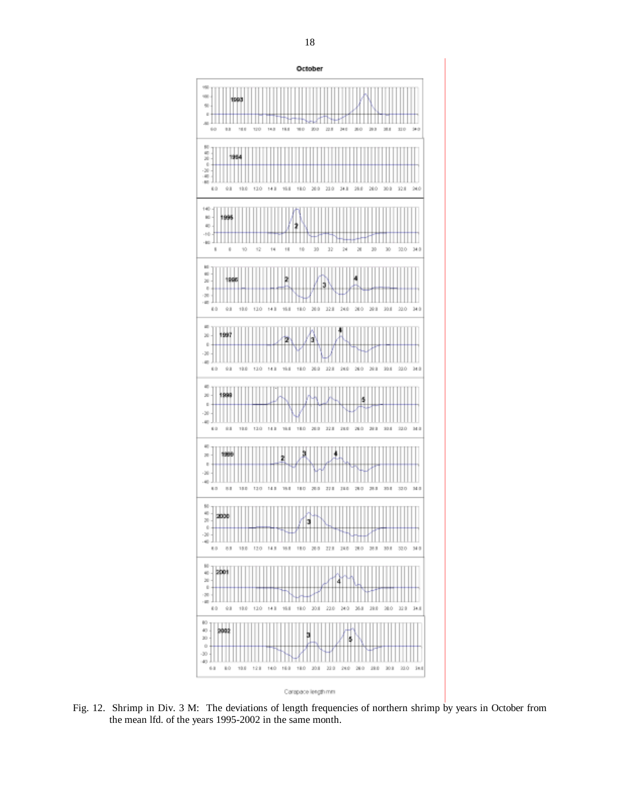

Fig. 12. Shrimp in Div. 3 M: The deviations of length frequencies of northern shrimp by years in October from the mean lfd. of the years 1995-2002 in the same month.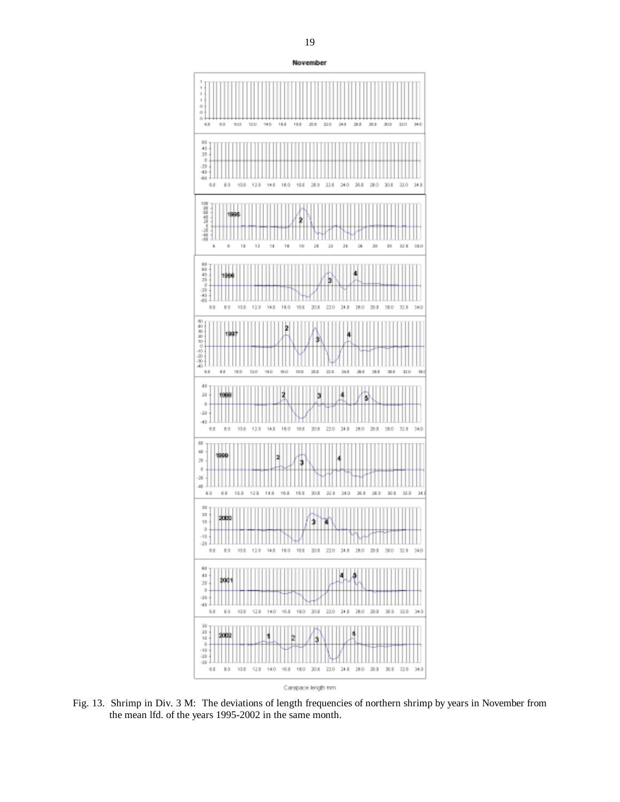

Carapace length mm

Fig. 13. Shrimp in Div. 3 M: The deviations of length frequencies of northern shrimp by years in November from the mean lfd. of the years 1995-2002 in the same month.